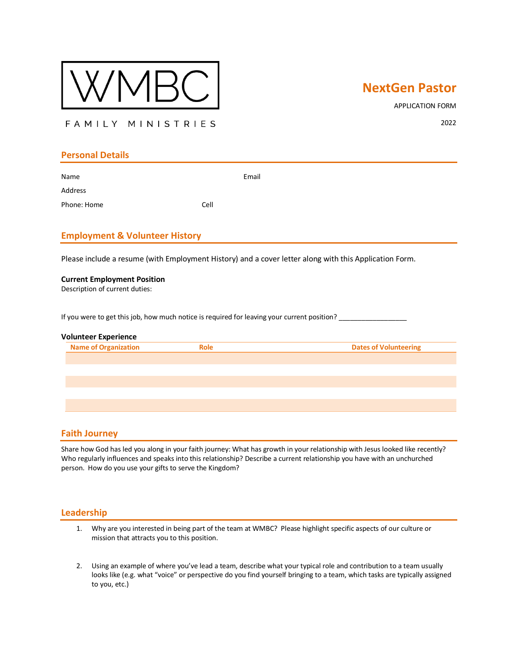

# **NextGen Pastor**

APPLICATION FORM

FAMILY MINISTRIES

2022

## **Personal Details**

Name **Email** Address

**Employment & Volunteer History**

Phone: Home Cell

Please include a resume (with Employment History) and a cover letter along with this Application Form.

#### **Current Employment Position**

Description of current duties:

If you were to get this job, how much notice is required for leaving your current position?

#### **Volunteer Experience**

| אור |  |
|-----|--|
|     |  |

#### **Faith Journey**

Share how God has led you along in your faith journey: What has growth in your relationship with Jesus looked like recently? Who regularly influences and speaks into this relationship? Describe a current relationship you have with an unchurched person. How do you use your gifts to serve the Kingdom?

#### **Leadership**

- 1. Why are you interested in being part of the team at WMBC? Please highlight specific aspects of our culture or mission that attracts you to this position.
- 2. Using an example of where you've lead a team, describe what your typical role and contribution to a team usually looks like (e.g. what "voice" or perspective do you find yourself bringing to a team, which tasks are typically assigned to you, etc.)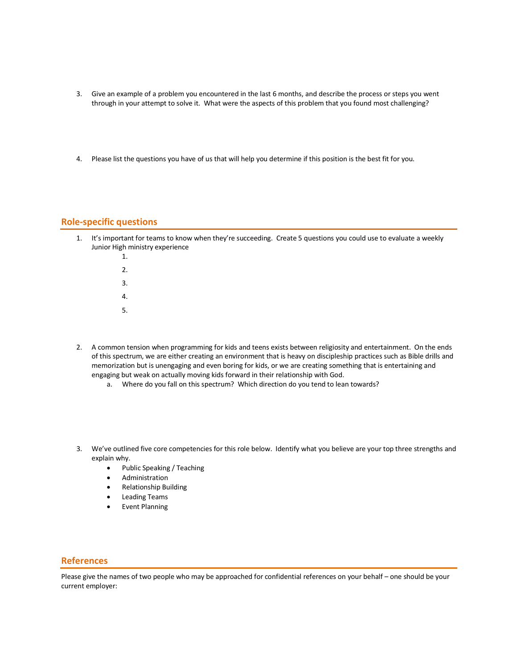- 3. Give an example of a problem you encountered in the last 6 months, and describe the process or steps you went through in your attempt to solve it. What were the aspects of this problem that you found most challenging?
- 4. Please list the questions you have of us that will help you determine if this position is the best fit for you.

### **Role-specific questions**

- 1. It's important for teams to know when they're succeeding. Create 5 questions you could use to evaluate a weekly Junior High ministry experience
	- 1. 2. 3. 4. 5.
- 2. A common tension when programming for kids and teens exists between religiosity and entertainment. On the ends of this spectrum, we are either creating an environment that is heavy on discipleship practices such as Bible drills and memorization but is unengaging and even boring for kids, or we are creating something that is entertaining and engaging but weak on actually moving kids forward in their relationship with God.
	- a. Where do you fall on this spectrum? Which direction do you tend to lean towards?
- 3. We've outlined five core competencies for this role below. Identify what you believe are your top three strengths and explain why.
	- Public Speaking / Teaching
	- Administration
	- Relationship Building
	- Leading Teams
	- Event Planning

### **References**

Please give the names of two people who may be approached for confidential references on your behalf – one should be your current employer: